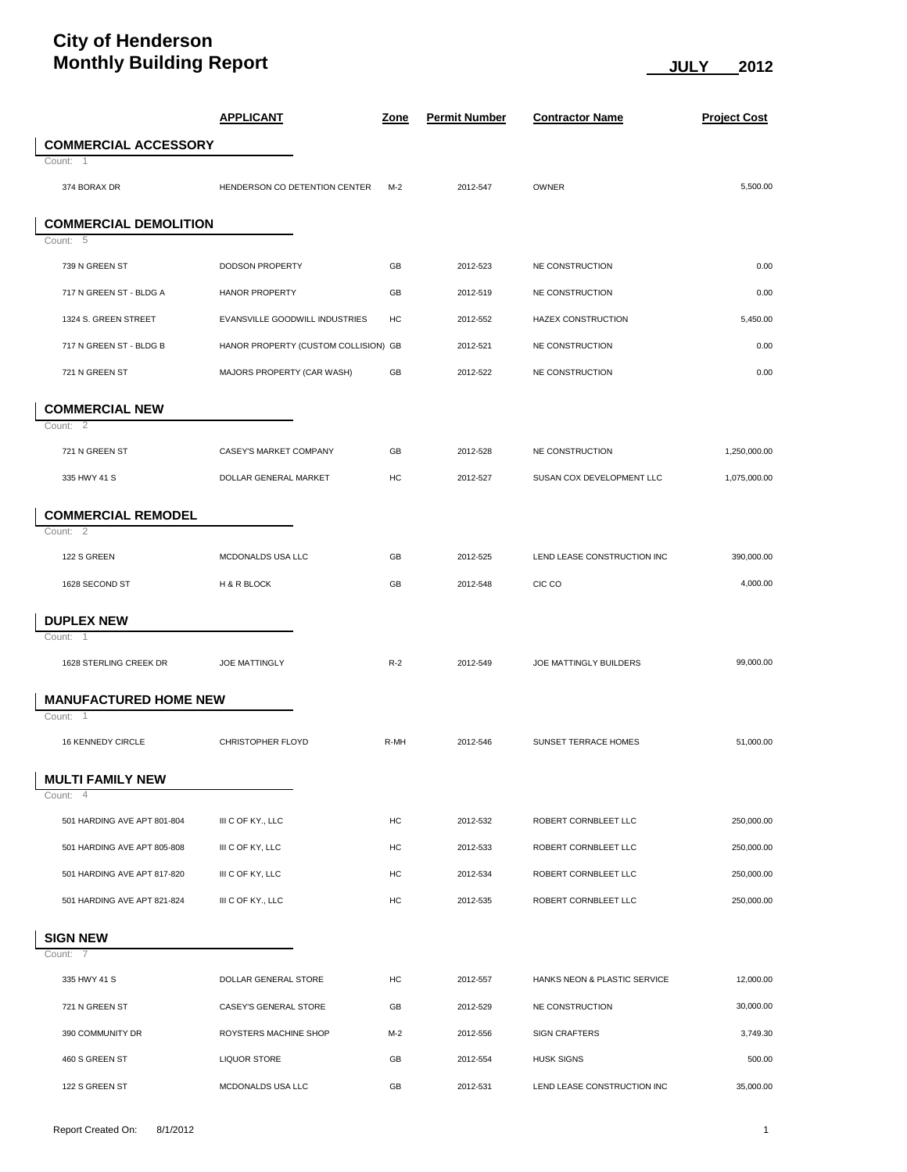## **City of Henderson Monthly Building Report**  $\underline{\hspace{1cm}}$  JULY 2012

|                              | <b>APPLICANT</b>                     | <u>Zone</u> | <b>Permit Number</b> | <b>Contractor Name</b>       | <b>Project Cost</b> |
|------------------------------|--------------------------------------|-------------|----------------------|------------------------------|---------------------|
| <b>COMMERCIAL ACCESSORY</b>  |                                      |             |                      |                              |                     |
| Count: 1                     |                                      |             |                      |                              |                     |
| 374 BORAX DR                 | HENDERSON CO DETENTION CENTER        | $M-2$       | 2012-547             | <b>OWNER</b>                 | 5,500.00            |
| <b>COMMERCIAL DEMOLITION</b> |                                      |             |                      |                              |                     |
| Count: 5                     |                                      |             |                      |                              |                     |
| 739 N GREEN ST               | DODSON PROPERTY                      | GB          | 2012-523             | NE CONSTRUCTION              | 0.00                |
| 717 N GREEN ST - BLDG A      | <b>HANOR PROPERTY</b>                | GB          | 2012-519             | NE CONSTRUCTION              | 0.00                |
| 1324 S. GREEN STREET         | EVANSVILLE GOODWILL INDUSTRIES       | HC          | 2012-552             | HAZEX CONSTRUCTION           | 5,450.00            |
| 717 N GREEN ST - BLDG B      | HANOR PROPERTY (CUSTOM COLLISION) GB |             | 2012-521             | NE CONSTRUCTION              | 0.00                |
| 721 N GREEN ST               | MAJORS PROPERTY (CAR WASH)           | GB          | 2012-522             | NE CONSTRUCTION              | 0.00                |
| <b>COMMERCIAL NEW</b>        |                                      |             |                      |                              |                     |
| Count: 2                     |                                      |             |                      |                              |                     |
| 721 N GREEN ST               | CASEY'S MARKET COMPANY               | GB          | 2012-528             | <b>NE CONSTRUCTION</b>       | 1,250,000.00        |
| 335 HWY 41 S                 | DOLLAR GENERAL MARKET                | HC          | 2012-527             | SUSAN COX DEVELOPMENT LLC    | 1,075,000.00        |
| <b>COMMERCIAL REMODEL</b>    |                                      |             |                      |                              |                     |
| Count: 2                     |                                      |             |                      |                              |                     |
| 122 S GREEN                  | MCDONALDS USA LLC                    | GB          | 2012-525             | LEND LEASE CONSTRUCTION INC  | 390,000.00          |
| 1628 SECOND ST               | H & R BLOCK                          | GB          | 2012-548             | CIC CO                       | 4,000.00            |
| <b>DUPLEX NEW</b>            |                                      |             |                      |                              |                     |
| Count: 1                     |                                      |             |                      |                              |                     |
| 1628 STERLING CREEK DR       | <b>JOE MATTINGLY</b>                 | $R-2$       | 2012-549             | JOE MATTINGLY BUILDERS       | 99,000.00           |
| <b>MANUFACTURED HOME NEW</b> |                                      |             |                      |                              |                     |
| Count: 1                     |                                      |             |                      |                              |                     |
| 16 KENNEDY CIRCLE            | CHRISTOPHER FLOYD                    | R-MH        | 2012-546             | SUNSET TERRACE HOMES         | 51,000.00           |
| <b>MULTI FAMILY NEW</b>      |                                      |             |                      |                              |                     |
| Count: 4                     |                                      |             |                      |                              |                     |
| 501 HARDING AVE APT 801-804  | III C OF KY., LLC                    | HC          | 2012-532             | ROBERT CORNBLEET LLC         | 250,000.00          |
| 501 HARDING AVE APT 805-808  | III C OF KY, LLC                     | HC          | 2012-533             | ROBERT CORNBLEET LLC         | 250,000.00          |
| 501 HARDING AVE APT 817-820  | III C OF KY, LLC                     | HC          | 2012-534             | ROBERT CORNBLEET LLC         | 250,000.00          |
| 501 HARDING AVE APT 821-824  | III C OF KY., LLC                    | HC          | 2012-535             | ROBERT CORNBLEET LLC         | 250,000.00          |
| <b>SIGN NEW</b>              |                                      |             |                      |                              |                     |
| Count: 7                     |                                      |             |                      |                              |                     |
| 335 HWY 41 S                 | DOLLAR GENERAL STORE                 | HC          | 2012-557             | HANKS NEON & PLASTIC SERVICE | 12,000.00           |
| 721 N GREEN ST               | CASEY'S GENERAL STORE                | GB          | 2012-529             | NE CONSTRUCTION              | 30,000.00           |
| 390 COMMUNITY DR             | ROYSTERS MACHINE SHOP                | M-2         | 2012-556             | <b>SIGN CRAFTERS</b>         | 3,749.30            |
| 460 S GREEN ST               | <b>LIQUOR STORE</b>                  | GB          | 2012-554             | <b>HUSK SIGNS</b>            | 500.00              |
| 122 S GREEN ST               | MCDONALDS USA LLC                    | GB          | 2012-531             | LEND LEASE CONSTRUCTION INC  | 35,000.00           |